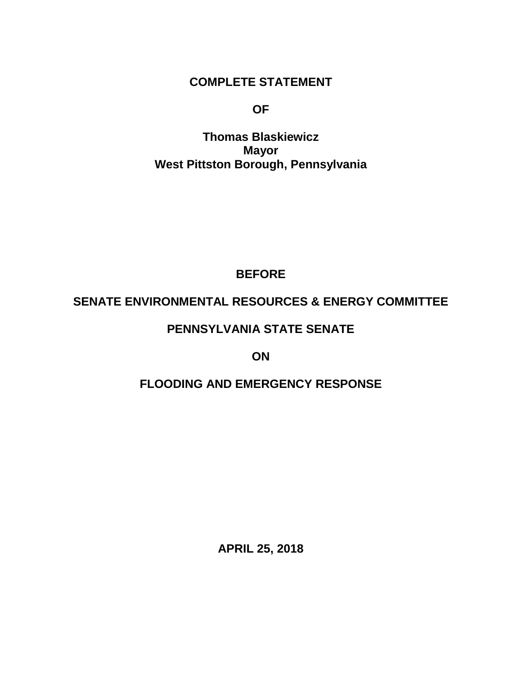### **COMPLETE STATEMENT**

**OF**

**Thomas Blaskiewicz Mayor West Pittston Borough, Pennsylvania**

## **BEFORE**

## **SENATE ENVIRONMENTAL RESOURCES & ENERGY COMMITTEE**

## **PENNSYLVANIA STATE SENATE**

**ON**

# **FLOODING AND EMERGENCY RESPONSE**

**APRIL 25, 2018**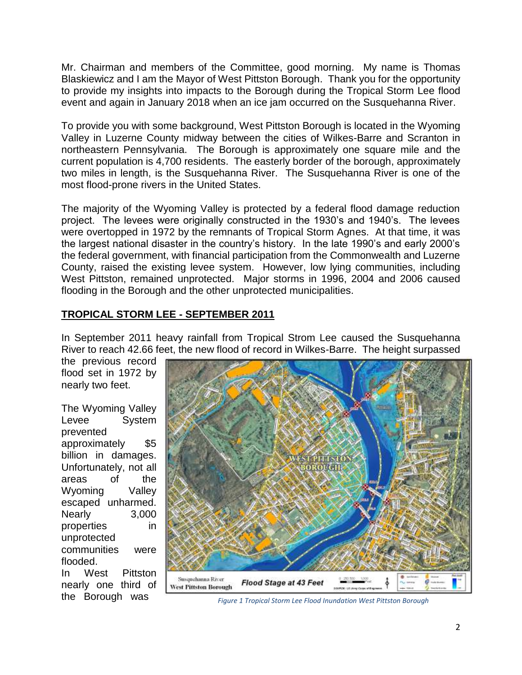Mr. Chairman and members of the Committee, good morning. My name is Thomas Blaskiewicz and I am the Mayor of West Pittston Borough. Thank you for the opportunity to provide my insights into impacts to the Borough during the Tropical Storm Lee flood event and again in January 2018 when an ice jam occurred on the Susquehanna River.

To provide you with some background, West Pittston Borough is located in the Wyoming Valley in Luzerne County midway between the cities of Wilkes-Barre and Scranton in northeastern Pennsylvania. The Borough is approximately one square mile and the current population is 4,700 residents. The easterly border of the borough, approximately two miles in length, is the Susquehanna River. The Susquehanna River is one of the most flood-prone rivers in the United States.

The majority of the Wyoming Valley is protected by a federal flood damage reduction project. The levees were originally constructed in the 1930's and 1940's. The levees were overtopped in 1972 by the remnants of Tropical Storm Agnes. At that time, it was the largest national disaster in the country's history. In the late 1990's and early 2000's the federal government, with financial participation from the Commonwealth and Luzerne County, raised the existing levee system. However, low lying communities, including West Pittston, remained unprotected. Major storms in 1996, 2004 and 2006 caused flooding in the Borough and the other unprotected municipalities.

### **TROPICAL STORM LEE - SEPTEMBER 2011**

In September 2011 heavy rainfall from Tropical Strom Lee caused the Susquehanna River to reach 42.66 feet, the new flood of record in Wilkes-Barre. The height surpassed

the previous record flood set in 1972 by nearly two feet.

The Wyoming Valley Levee System prevented approximately \$5 billion in damages. Unfortunately, not all areas of the Wyoming Valley escaped unharmed. Nearly 3,000 properties in unprotected communities were flooded. In West Pittston nearly one third of



the Borough was *Figure 1 Tropical Storm Lee Flood Inundation West Pittston Borough*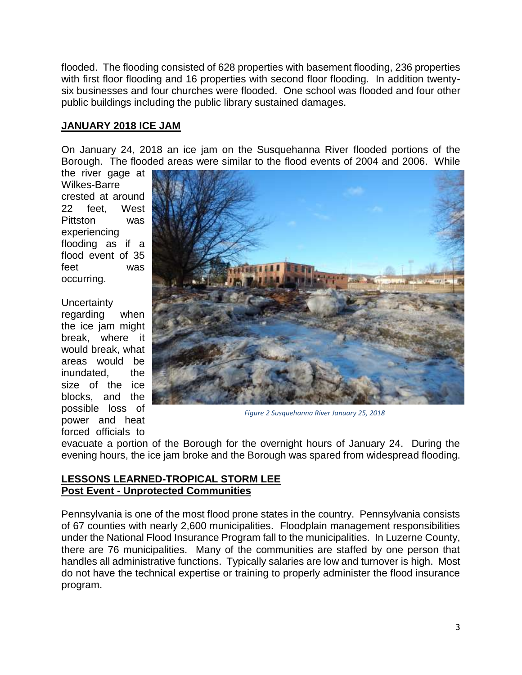flooded. The flooding consisted of 628 properties with basement flooding, 236 properties with first floor flooding and 16 properties with second floor flooding. In addition twentysix businesses and four churches were flooded. One school was flooded and four other public buildings including the public library sustained damages.

#### **JANUARY 2018 ICE JAM**

On January 24, 2018 an ice jam on the Susquehanna River flooded portions of the Borough. The flooded areas were similar to the flood events of 2004 and 2006. While

the river gage at Wilkes-Barre crested at around 22 feet, West Pittston was experiencing flooding as if a flood event of 35 feet was occurring.

**Uncertainty** regarding when the ice jam might break, where it would break, what areas would be inundated, the size of the ice blocks, and the possible loss of power and heat forced officials to



*Figure 2 Susquehanna River January 25, 2018*

evacuate a portion of the Borough for the overnight hours of January 24. During the evening hours, the ice jam broke and the Borough was spared from widespread flooding.

### **LESSONS LEARNED-TROPICAL STORM LEE Post Event - Unprotected Communities**

Pennsylvania is one of the most flood prone states in the country. Pennsylvania consists of 67 counties with nearly 2,600 municipalities. Floodplain management responsibilities under the National Flood Insurance Program fall to the municipalities. In Luzerne County, there are 76 municipalities. Many of the communities are staffed by one person that handles all administrative functions. Typically salaries are low and turnover is high. Most do not have the technical expertise or training to properly administer the flood insurance program.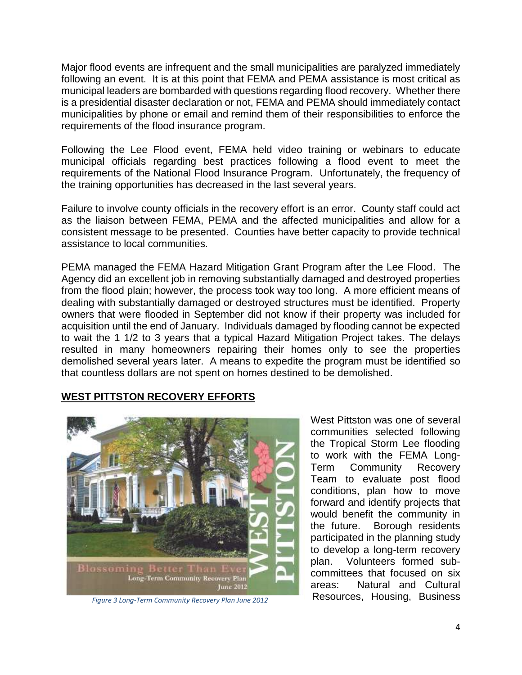Major flood events are infrequent and the small municipalities are paralyzed immediately following an event. It is at this point that FEMA and PEMA assistance is most critical as municipal leaders are bombarded with questions regarding flood recovery. Whether there is a presidential disaster declaration or not, FEMA and PEMA should immediately contact municipalities by phone or email and remind them of their responsibilities to enforce the requirements of the flood insurance program.

Following the Lee Flood event, FEMA held video training or webinars to educate municipal officials regarding best practices following a flood event to meet the requirements of the National Flood Insurance Program. Unfortunately, the frequency of the training opportunities has decreased in the last several years.

Failure to involve county officials in the recovery effort is an error. County staff could act as the liaison between FEMA, PEMA and the affected municipalities and allow for a consistent message to be presented. Counties have better capacity to provide technical assistance to local communities.

PEMA managed the FEMA Hazard Mitigation Grant Program after the Lee Flood. The Agency did an excellent job in removing substantially damaged and destroyed properties from the flood plain; however, the process took way too long. A more efficient means of dealing with substantially damaged or destroyed structures must be identified. Property owners that were flooded in September did not know if their property was included for acquisition until the end of January. Individuals damaged by flooding cannot be expected to wait the 1 1/2 to 3 years that a typical Hazard Mitigation Project takes. The delays resulted in many homeowners repairing their homes only to see the properties demolished several years later. A means to expedite the program must be identified so that countless dollars are not spent on homes destined to be demolished.

### **WEST PITTSTON RECOVERY EFFORTS**



West Pittston was one of several communities selected following the Tropical Storm Lee flooding to work with the FEMA Long-Term Community Recovery Team to evaluate post flood conditions, plan how to move forward and identify projects that would benefit the community in the future. Borough residents participated in the planning study to develop a long-term recovery plan. Volunteers formed subcommittees that focused on six areas: Natural and Cultural Resources, Housing, Business *Figure 3 Long-Term Community Recovery Plan June 2012*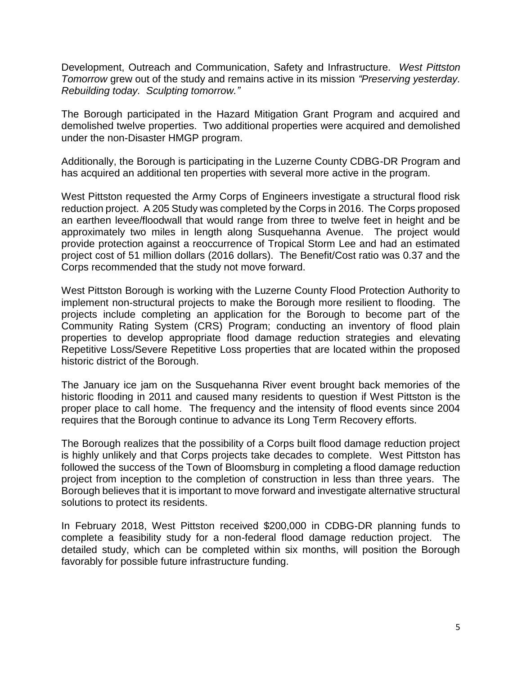Development, Outreach and Communication, Safety and Infrastructure. *West Pittston Tomorrow* grew out of the study and remains active in its mission *"Preserving yesterday. Rebuilding today. Sculpting tomorrow."*

The Borough participated in the Hazard Mitigation Grant Program and acquired and demolished twelve properties. Two additional properties were acquired and demolished under the non-Disaster HMGP program.

Additionally, the Borough is participating in the Luzerne County CDBG-DR Program and has acquired an additional ten properties with several more active in the program.

West Pittston requested the Army Corps of Engineers investigate a structural flood risk reduction project. A 205 Study was completed by the Corps in 2016. The Corps proposed an earthen levee/floodwall that would range from three to twelve feet in height and be approximately two miles in length along Susquehanna Avenue. The project would provide protection against a reoccurrence of Tropical Storm Lee and had an estimated project cost of 51 million dollars (2016 dollars). The Benefit/Cost ratio was 0.37 and the Corps recommended that the study not move forward.

West Pittston Borough is working with the Luzerne County Flood Protection Authority to implement non-structural projects to make the Borough more resilient to flooding. The projects include completing an application for the Borough to become part of the Community Rating System (CRS) Program; conducting an inventory of flood plain properties to develop appropriate flood damage reduction strategies and elevating Repetitive Loss/Severe Repetitive Loss properties that are located within the proposed historic district of the Borough.

The January ice jam on the Susquehanna River event brought back memories of the historic flooding in 2011 and caused many residents to question if West Pittston is the proper place to call home. The frequency and the intensity of flood events since 2004 requires that the Borough continue to advance its Long Term Recovery efforts.

The Borough realizes that the possibility of a Corps built flood damage reduction project is highly unlikely and that Corps projects take decades to complete. West Pittston has followed the success of the Town of Bloomsburg in completing a flood damage reduction project from inception to the completion of construction in less than three years. The Borough believes that it is important to move forward and investigate alternative structural solutions to protect its residents.

In February 2018, West Pittston received \$200,000 in CDBG-DR planning funds to complete a feasibility study for a non-federal flood damage reduction project. The detailed study, which can be completed within six months, will position the Borough favorably for possible future infrastructure funding.